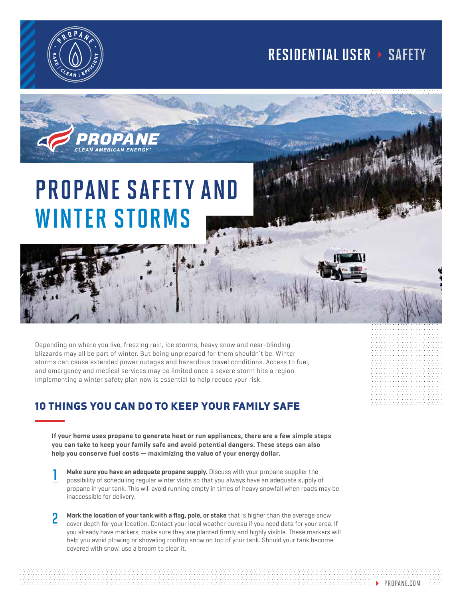

## RESIDENTIAL USER > SAFETY

## PROPANE SAFETY AND WINTER STORMS

Depending on where you live, freezing rain, ice storms, heavy snow and near-blinding blizzards may all be part of winter. But being unprepared for them shouldn't be. Winter storms can cause extended power outages and hazardous travel conditions. Access to fuel, and emergency and medical services may be limited once a severe storm hits a region. Implementing a winter safety plan now is essential to help reduce your risk.

## 10 THINGS YOU CAN DO TO KEEP YOUR FAMILY SAFE

**If your home uses propane to generate heat or run appliances, there are a few simple steps you can take to keep your family safe and avoid potential dangers. These steps can also help you conserve fuel costs — maximizing the value of your energy dollar.**

- **Make sure you have an adequate propane supply.** Discuss with your propane supplier the possibility of scheduling regular winter visits so that you always have an adequate supply of propane in your tank. This will avoid running empty in times of heavy snowfall when roads may be inaccessible for delivery. 1
- **Mark the location of your tank with a flag, pole, or stake** that is higher than the average snow cover depth for your location. Contact your local weather bureau if you need data for your area. If you already have markers, make sure they are planted firmly and highly visible. These markers will help you avoid plowing or shoveling rooftop snow on top of your tank. Should your tank become covered with snow, use a broom to clear it. 2